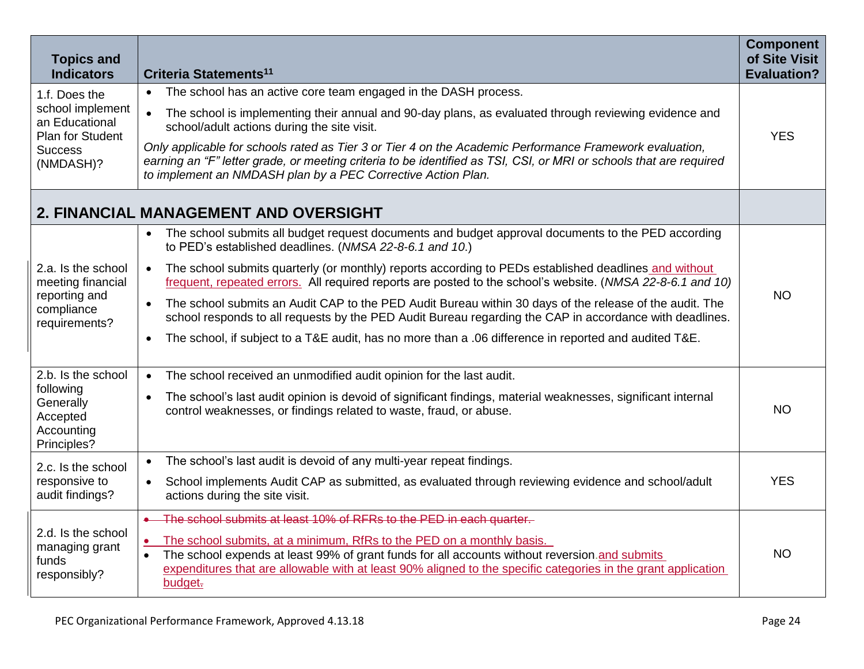| <b>Topics and</b><br><b>Indicators</b>                                                                 | Criteria Statements <sup>11</sup>                                                                                                                                                                                                                                                                                            | <b>Component</b><br>of Site Visit<br><b>Evaluation?</b> |
|--------------------------------------------------------------------------------------------------------|------------------------------------------------------------------------------------------------------------------------------------------------------------------------------------------------------------------------------------------------------------------------------------------------------------------------------|---------------------------------------------------------|
| 1.f. Does the<br>school implement<br>an Educational<br>Plan for Student<br><b>Success</b><br>(NMDASH)? | The school has an active core team engaged in the DASH process.<br>$\bullet$                                                                                                                                                                                                                                                 |                                                         |
|                                                                                                        | The school is implementing their annual and 90-day plans, as evaluated through reviewing evidence and<br>$\bullet$<br>school/adult actions during the site visit.                                                                                                                                                            | <b>YES</b>                                              |
|                                                                                                        | Only applicable for schools rated as Tier 3 or Tier 4 on the Academic Performance Framework evaluation,<br>earning an "F" letter grade, or meeting criteria to be identified as TSI, CSI, or MRI or schools that are required<br>to implement an NMDASH plan by a PEC Corrective Action Plan.                                |                                                         |
|                                                                                                        | 2. FINANCIAL MANAGEMENT AND OVERSIGHT                                                                                                                                                                                                                                                                                        |                                                         |
| 2.a. Is the school<br>meeting financial<br>reporting and<br>compliance<br>requirements?                | The school submits all budget request documents and budget approval documents to the PED according<br>$\bullet$<br>to PED's established deadlines. (NMSA 22-8-6.1 and 10.)                                                                                                                                                   |                                                         |
|                                                                                                        | The school submits quarterly (or monthly) reports according to PEDs established deadlines and without<br>$\bullet$<br>frequent, repeated errors. All required reports are posted to the school's website. (NMSA 22-8-6.1 and 10)                                                                                             | <b>NO</b>                                               |
|                                                                                                        | The school submits an Audit CAP to the PED Audit Bureau within 30 days of the release of the audit. The<br>$\bullet$<br>school responds to all requests by the PED Audit Bureau regarding the CAP in accordance with deadlines.                                                                                              |                                                         |
|                                                                                                        | The school, if subject to a T&E audit, has no more than a .06 difference in reported and audited T&E.<br>$\bullet$                                                                                                                                                                                                           |                                                         |
| 2.b. Is the school<br>following<br>Generally<br>Accepted<br>Accounting<br>Principles?                  | The school received an unmodified audit opinion for the last audit.<br>$\bullet$                                                                                                                                                                                                                                             |                                                         |
|                                                                                                        | The school's last audit opinion is devoid of significant findings, material weaknesses, significant internal<br>$\bullet$<br>control weaknesses, or findings related to waste, fraud, or abuse.                                                                                                                              | <b>NO</b>                                               |
| 2.c. Is the school                                                                                     | The school's last audit is devoid of any multi-year repeat findings.<br>$\bullet$                                                                                                                                                                                                                                            |                                                         |
| responsive to<br>audit findings?                                                                       | School implements Audit CAP as submitted, as evaluated through reviewing evidence and school/adult<br>$\bullet$<br>actions during the site visit.                                                                                                                                                                            | <b>YES</b>                                              |
| 2.d. Is the school<br>managing grant<br>funds<br>responsibly?                                          | . The school submits at least 10% of RFRs to the PED in each quarter.                                                                                                                                                                                                                                                        |                                                         |
|                                                                                                        | The school submits, at a minimum, RfRs to the PED on a monthly basis.<br>$\bullet$<br>The school expends at least 99% of grant funds for all accounts without reversion.and submits<br>$\bullet$<br>expenditures that are allowable with at least 90% aligned to the specific categories in the grant application<br>budget- | <b>NO</b>                                               |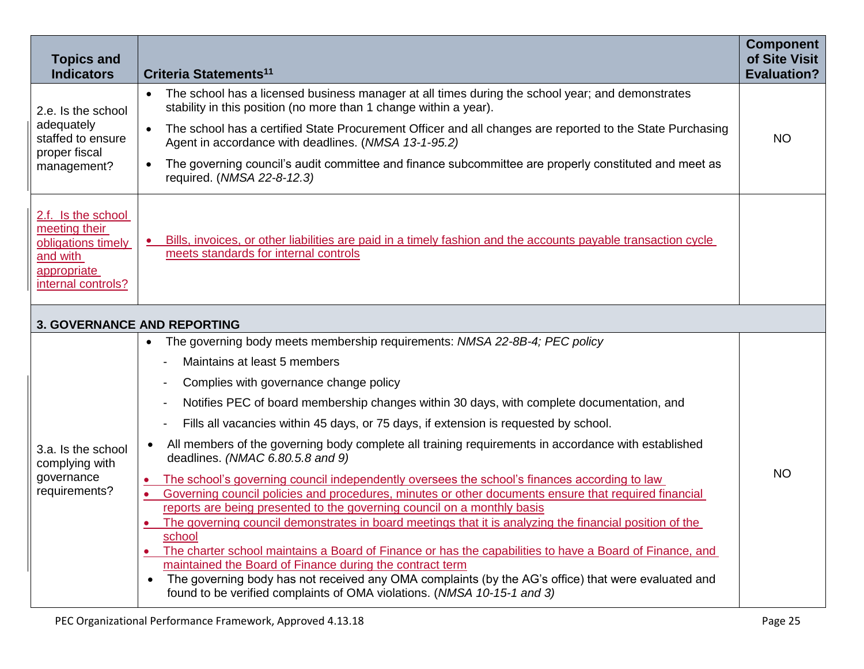| <b>Topics and</b><br><b>Indicators</b>                                                                     | Criteria Statements <sup>11</sup>                                                                                                                                                                                                                                                                                                                                    | <b>Component</b><br>of Site Visit<br><b>Evaluation?</b> |  |  |  |
|------------------------------------------------------------------------------------------------------------|----------------------------------------------------------------------------------------------------------------------------------------------------------------------------------------------------------------------------------------------------------------------------------------------------------------------------------------------------------------------|---------------------------------------------------------|--|--|--|
| 2.e. Is the school<br>adequately<br>staffed to ensure<br>proper fiscal<br>management?                      | The school has a licensed business manager at all times during the school year; and demonstrates<br>$\bullet$<br>stability in this position (no more than 1 change within a year).<br>The school has a certified State Procurement Officer and all changes are reported to the State Purchasing<br>$\bullet$<br>Agent in accordance with deadlines. (NMSA 13-1-95.2) | <b>NO</b>                                               |  |  |  |
|                                                                                                            | The governing council's audit committee and finance subcommittee are properly constituted and meet as<br>$\bullet$<br>required. (NMSA 22-8-12.3)                                                                                                                                                                                                                     |                                                         |  |  |  |
| 2.f. Is the school<br>meeting their<br>obligations timely<br>and with<br>appropriate<br>internal controls? | Bills, invoices, or other liabilities are paid in a timely fashion and the accounts payable transaction cycle<br>meets standards for internal controls                                                                                                                                                                                                               |                                                         |  |  |  |
| <b>3. GOVERNANCE AND REPORTING</b>                                                                         |                                                                                                                                                                                                                                                                                                                                                                      |                                                         |  |  |  |
|                                                                                                            | The governing body meets membership requirements: NMSA 22-8B-4; PEC policy                                                                                                                                                                                                                                                                                           |                                                         |  |  |  |
| 3.a. Is the school<br>complying with<br>governance<br>requirements?                                        | Maintains at least 5 members                                                                                                                                                                                                                                                                                                                                         |                                                         |  |  |  |
|                                                                                                            | Complies with governance change policy                                                                                                                                                                                                                                                                                                                               | <b>NO</b>                                               |  |  |  |
|                                                                                                            | Notifies PEC of board membership changes within 30 days, with complete documentation, and<br>$\overline{a}$                                                                                                                                                                                                                                                          |                                                         |  |  |  |
|                                                                                                            | Fills all vacancies within 45 days, or 75 days, if extension is requested by school.                                                                                                                                                                                                                                                                                 |                                                         |  |  |  |
|                                                                                                            | All members of the governing body complete all training requirements in accordance with established<br>$\bullet$<br>deadlines. (NMAC 6.80.5.8 and 9)                                                                                                                                                                                                                 |                                                         |  |  |  |
|                                                                                                            | The school's governing council independently oversees the school's finances according to law                                                                                                                                                                                                                                                                         |                                                         |  |  |  |
|                                                                                                            | Governing council policies and procedures, minutes or other documents ensure that required financial<br>$\bullet$<br>reports are being presented to the governing council on a monthly basis                                                                                                                                                                         |                                                         |  |  |  |
|                                                                                                            | The governing council demonstrates in board meetings that it is analyzing the financial position of the<br>$\bullet$                                                                                                                                                                                                                                                 |                                                         |  |  |  |
|                                                                                                            | school                                                                                                                                                                                                                                                                                                                                                               |                                                         |  |  |  |
|                                                                                                            | The charter school maintains a Board of Finance or has the capabilities to have a Board of Finance, and<br>maintained the Board of Finance during the contract term                                                                                                                                                                                                  |                                                         |  |  |  |
|                                                                                                            | The governing body has not received any OMA complaints (by the AG's office) that were evaluated and<br>found to be verified complaints of OMA violations. (NMSA 10-15-1 and 3)                                                                                                                                                                                       |                                                         |  |  |  |